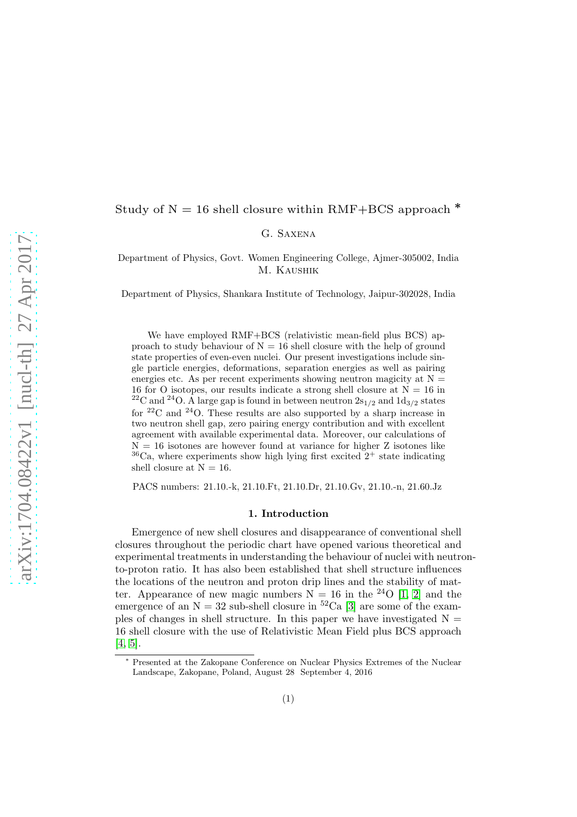# Study of  $N = 16$  shell closure within RMF+BCS approach  $*$

## G. Saxena

Department of Physics, Govt. Women Engineering College, Ajmer-305002, India M. Kaushik

Department of Physics, Shankara Institute of Technology, Jaipur-302028, India

We have employed RMF+BCS (relativistic mean-field plus BCS) approach to study behaviour of  $N = 16$  shell closure with the help of ground state properties of even-even nuclei. Our present investigations include single particle energies, deformations, separation energies as well as pairing energies etc. As per recent experiments showing neutron magicity at  $N =$ 16 for O isotopes, our results indicate a strong shell closure at  $N = 16$  in <sup>22</sup>C and <sup>24</sup>O. A large gap is found in between neutron  $2s_{1/2}$  and  $1d_{3/2}$  states for  $22^{\circ}$  and  $24^{\circ}$ . These results are also supported by a sharp increase in two neutron shell gap, zero pairing energy contribution and with excellent agreement with available experimental data. Moreover, our calculations of  $N = 16$  isotones are however found at variance for higher Z isotones like  $36$ Ca, where experiments show high lying first excited  $2^+$  state indicating shell closure at  $N = 16$ .

PACS numbers: 21.10.-k, 21.10.Ft, 21.10.Dr, 21.10.Gv, 21.10.-n, 21.60.Jz

## 1. Introduction

Emergence of new shell closures and disappearance of conventional shell closures throughout the periodic chart have opened various theoretical and experimental treatments in understanding the behaviour of nuclei with neutronto-proton ratio. It has also been established that shell structure influences the locations of the neutron and proton drip lines and the stability of matter. Appearance of new magic numbers  $N = 16$  in the <sup>24</sup>O [\[1,](#page-3-0) [2\]](#page-3-1) and the emergence of an  $N = 32$  sub-shell closure in <sup>52</sup>Ca [\[3\]](#page-3-2) are some of the examples of changes in shell structure. In this paper we have investigated  $N =$ 16 shell closure with the use of Relativistic Mean Field plus BCS approach [\[4,](#page-3-3) [5\]](#page-3-4).

Presented at the Zakopane Conference on Nuclear Physics Extremes of the Nuclear Landscape, Zakopane, Poland, August 28 September 4, 2016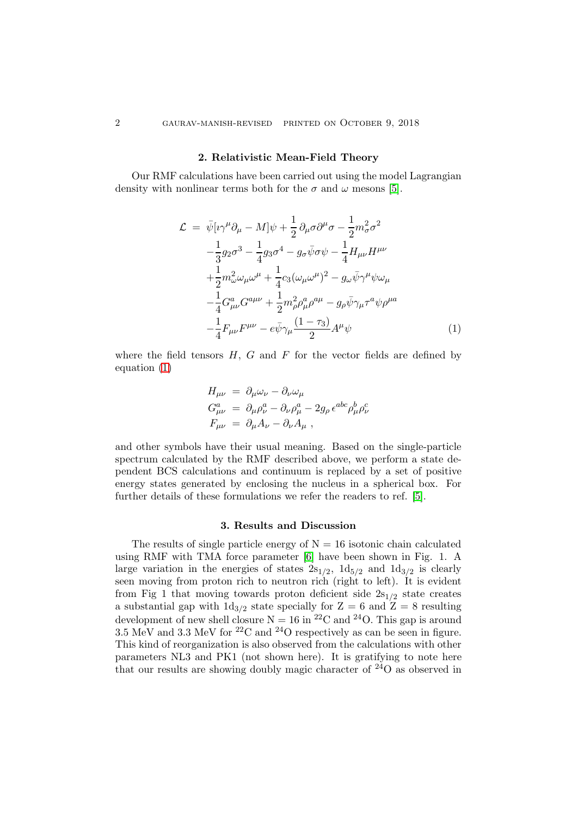#### 2. Relativistic Mean-Field Theory

Our RMF calculations have been carried out using the model Lagrangian density with nonlinear terms both for the  $\sigma$  and  $\omega$  mesons [\[5\]](#page-3-4).

<span id="page-1-0"></span>
$$
\mathcal{L} = \bar{\psi} [\imath \gamma^{\mu} \partial_{\mu} - M] \psi + \frac{1}{2} \partial_{\mu} \sigma \partial^{\mu} \sigma - \frac{1}{2} m_{\sigma}^{2} \sigma^{2} \n- \frac{1}{3} g_{2} \sigma^{3} - \frac{1}{4} g_{3} \sigma^{4} - g_{\sigma} \bar{\psi} \sigma \psi - \frac{1}{4} H_{\mu\nu} H^{\mu\nu} \n+ \frac{1}{2} m_{\omega}^{2} \omega_{\mu} \omega^{\mu} + \frac{1}{4} c_{3} (\omega_{\mu} \omega^{\mu})^{2} - g_{\omega} \bar{\psi} \gamma^{\mu} \psi \omega_{\mu} \n- \frac{1}{4} G_{\mu\nu}^{a} G^{a\mu\nu} + \frac{1}{2} m_{\rho}^{2} \rho_{\mu}^{a} \rho^{a\mu} - g_{\rho} \bar{\psi} \gamma_{\mu} \tau^{a} \psi \rho^{\mu a} \n- \frac{1}{4} F_{\mu\nu} F^{\mu\nu} - e \bar{\psi} \gamma_{\mu} \frac{(1 - \tau_{3})}{2} A^{\mu} \psi
$$
\n(1)

where the field tensors  $H, G$  and  $F$  for the vector fields are defined by equation [\(1\)](#page-1-0)

$$
H_{\mu\nu} = \partial_{\mu}\omega_{\nu} - \partial_{\nu}\omega_{\mu}
$$
  
\n
$$
G_{\mu\nu}^{a} = \partial_{\mu}\rho_{\nu}^{a} - \partial_{\nu}\rho_{\mu}^{a} - 2g_{\rho}\epsilon^{abc}\rho_{\mu}^{b}\rho_{\nu}^{c}
$$
  
\n
$$
F_{\mu\nu} = \partial_{\mu}A_{\nu} - \partial_{\nu}A_{\mu}
$$

and other symbols have their usual meaning. Based on the single-particle spectrum calculated by the RMF described above, we perform a state dependent BCS calculations and continuum is replaced by a set of positive energy states generated by enclosing the nucleus in a spherical box. For further details of these formulations we refer the readers to ref. [\[5\]](#page-3-4).

## 3. Results and Discussion

The results of single particle energy of  $N = 16$  isotonic chain calculated using RMF with TMA force parameter [\[6\]](#page-3-5) have been shown in Fig. 1. A large variation in the energies of states  $2s_{1/2}$ ,  $1d_{5/2}$  and  $1d_{3/2}$  is clearly seen moving from proton rich to neutron rich (right to left). It is evident from Fig 1 that moving towards proton deficient side  $2s_{1/2}$  state creates a substantial gap with  $1d_{3/2}$  state specially for  $Z = 6$  and  $Z = 8$  resulting development of new shell closure  $N = 16$  in <sup>22</sup>C and <sup>24</sup>O. This gap is around 3.5 MeV and 3.3 MeV for <sup>22</sup>C and <sup>24</sup>O respectively as can be seen in figure. This kind of reorganization is also observed from the calculations with other parameters NL3 and PK1 (not shown here). It is gratifying to note here that our results are showing doubly magic character of  $24\text{O}$  as observed in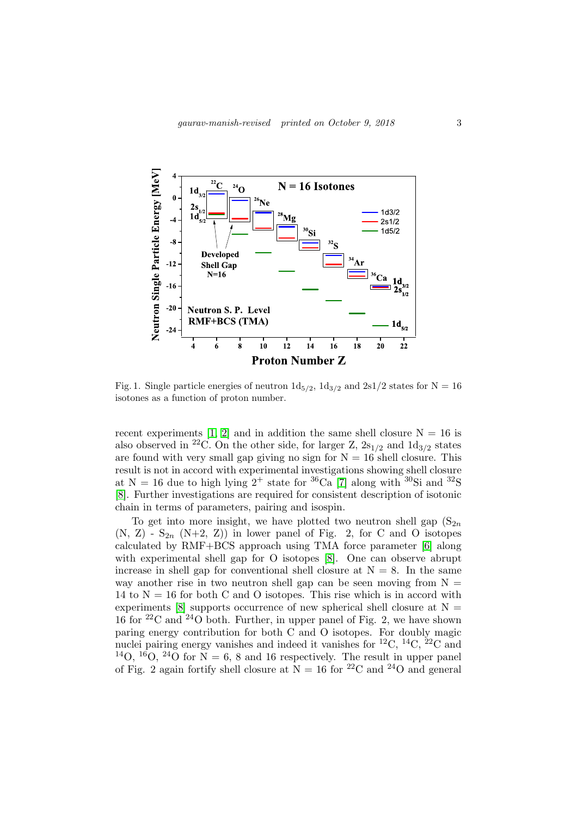

Fig. 1. Single particle energies of neutron  $1d_{5/2}$ ,  $1d_{3/2}$  and  $2s1/2$  states for N = 16 isotones as a function of proton number.

recent experiments [\[1,](#page-3-0) [2\]](#page-3-1) and in addition the same shell closure  $N = 16$  is also observed in <sup>22</sup>C. On the other side, for larger Z,  $2s_{1/2}$  and  $1d_{3/2}$  states are found with very small gap giving no sign for  $N = 16$  shell closure. This result is not in accord with experimental investigations showing shell closure at N = 16 due to high lying  $2^+$  state for <sup>36</sup>Ca [\[7\]](#page-3-6) along with <sup>30</sup>Si and <sup>32</sup>S [\[8\]](#page-3-7). Further investigations are required for consistent description of isotonic chain in terms of parameters, pairing and isospin.

To get into more insight, we have plotted two neutron shell gap  $(S_{2n})$  $(N, Z)$  -  $S_{2n}$   $(N+2, Z)$  in lower panel of Fig. 2, for C and O isotopes calculated by RMF+BCS approach using TMA force parameter [\[6\]](#page-3-5) along with experimental shell gap for O isotopes [\[8\]](#page-3-7). One can observe abrupt increase in shell gap for conventional shell closure at  $N = 8$ . In the same way another rise in two neutron shell gap can be seen moving from  $N =$ 14 to  $N = 16$  for both C and O isotopes. This rise which is in accord with experiments [\[8\]](#page-3-7) supports occurrence of new spherical shell closure at  $N =$ 16 for  $22^2C$  and  $24^2O$  both. Further, in upper panel of Fig. 2, we have shown paring energy contribution for both C and O isotopes. For doubly magic nuclei pairing energy vanishes and indeed it vanishes for <sup>12</sup>C, <sup>14</sup>C, <sup>22</sup>C and <sup>14</sup>O, <sup>16</sup>O, <sup>24</sup>O for  $N = 6$ , 8 and 16 respectively. The result in upper panel of Fig. 2 again fortify shell closure at  $N = 16$  for <sup>22</sup>C and <sup>24</sup>O and general